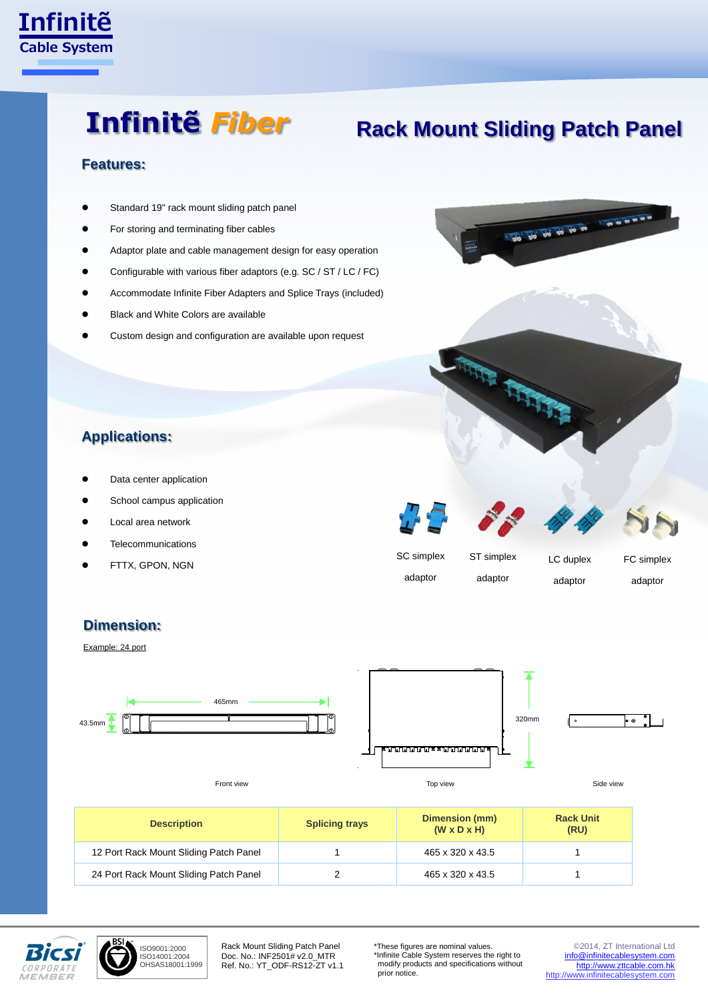

# **Infinitẽ** *Fiber*

# **Rack Mount Sliding Patch Panel**

#### **Features:**

- Standard 19" rack mount sliding patch panel
- For storing and terminating fiber cables
- Adaptor plate and cable management design for easy operation
- Configurable with various fiber adaptors (e.g. SC / ST / LC / FC)
- Accommodate Infinite Fiber Adapters and Splice Trays (included)
- Black and White Colors are available
- Custom design and configuration are available upon request



## **Applications:**

- Data center application
- School campus application
- Local area network
- **Telecommunications**
- FTTX, GPON, NGN



ART BASE

### **Dimension:**

Example: 24 port







Front view Side view Top view Top view Top view Top view Top view Side view

| <b>Description</b>                     | <b>Splicing trays</b> | Dimension (mm)<br>$(W \times D \times H)$ | <b>Rack Unit</b><br>(RU) |
|----------------------------------------|-----------------------|-------------------------------------------|--------------------------|
| 12 Port Rack Mount Sliding Patch Panel |                       | 465 x 320 x 43.5                          |                          |
| 24 Port Rack Mount Sliding Patch Panel |                       | 465 x 320 x 43.5                          |                          |



ISO9001:2000 ISO14001:2004 OHSAS18001:1999

Rack Mount Sliding Patch Panel Doc. No.: INF2501# v2.0\_MTR Ref. No.: YT\_ODF-RS12-ZT v1.1 \*These figures are nominal values. \*Infinite Cable System reserves the right to modify products and specifications without prior notice.

© 2014, ZT International Ltd [info@infinitecablesystem.com](mailto:info@infinitecablesystem.com) [http://www.zttcable.com.hk](http://www.zttcable.com.hk/) [http://www.infinitecablesystem.com](http://www.infinitecablesystem.com/)